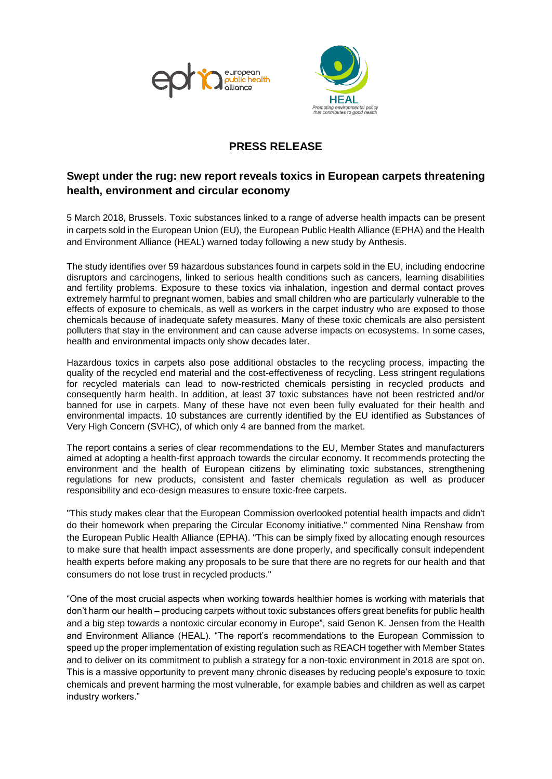



## **PRESS RELEASE**

## **Swept under the rug: new report reveals toxics in European carpets threatening health, environment and circular economy**

5 March 2018, Brussels. Toxic substances linked to a range of adverse health impacts can be present in carpets sold in the European Union (EU), the European Public Health Alliance (EPHA) and the Health and Environment Alliance (HEAL) warned today following a new study by Anthesis.

The study identifies over 59 hazardous substances found in carpets sold in the EU, including endocrine disruptors and carcinogens, linked to serious health conditions such as cancers, learning disabilities and fertility problems. Exposure to these toxics via inhalation, ingestion and dermal contact proves extremely harmful to pregnant women, babies and small children who are particularly vulnerable to the effects of exposure to chemicals, as well as workers in the carpet industry who are exposed to those chemicals because of inadequate safety measures. Many of these toxic chemicals are also persistent polluters that stay in the environment and can cause adverse impacts on ecosystems. In some cases, health and environmental impacts only show decades later.

Hazardous toxics in carpets also pose additional obstacles to the recycling process, impacting the quality of the recycled end material and the cost-effectiveness of recycling. Less stringent regulations for recycled materials can lead to now-restricted chemicals persisting in recycled products and consequently harm health. In addition, at least 37 toxic substances have not been restricted and/or banned for use in carpets. Many of these have not even been fully evaluated for their health and environmental impacts. 10 substances are currently identified by the EU identified as Substances of Very High Concern (SVHC), of which only 4 are banned from the market.

The report contains a series of clear recommendations to the EU, Member States and manufacturers aimed at adopting a health-first approach towards the circular economy. It recommends protecting the environment and the health of European citizens by eliminating toxic substances, strengthening regulations for new products, consistent and faster chemicals regulation as well as producer responsibility and eco-design measures to ensure toxic-free carpets.

"This study makes clear that the European Commission overlooked potential health impacts and didn't do their homework when preparing the Circular Economy initiative." commented Nina Renshaw from the European Public Health Alliance (EPHA). "This can be simply fixed by allocating enough resources to make sure that health impact assessments are done properly, and specifically consult independent health experts before making any proposals to be sure that there are no regrets for our health and that consumers do not lose trust in recycled products."

"One of the most crucial aspects when working towards healthier homes is working with materials that don't harm our health – producing carpets without toxic substances offers great benefits for public health and a big step towards a nontoxic circular economy in Europe", said Genon K. Jensen from the Health and Environment Alliance (HEAL). "The report's recommendations to the European Commission to speed up the proper implementation of existing regulation such as REACH together with Member States and to deliver on its commitment to publish a strategy for a non-toxic environment in 2018 are spot on. This is a massive opportunity to prevent many chronic diseases by reducing people's exposure to toxic chemicals and prevent harming the most vulnerable, for example babies and children as well as carpet industry workers."